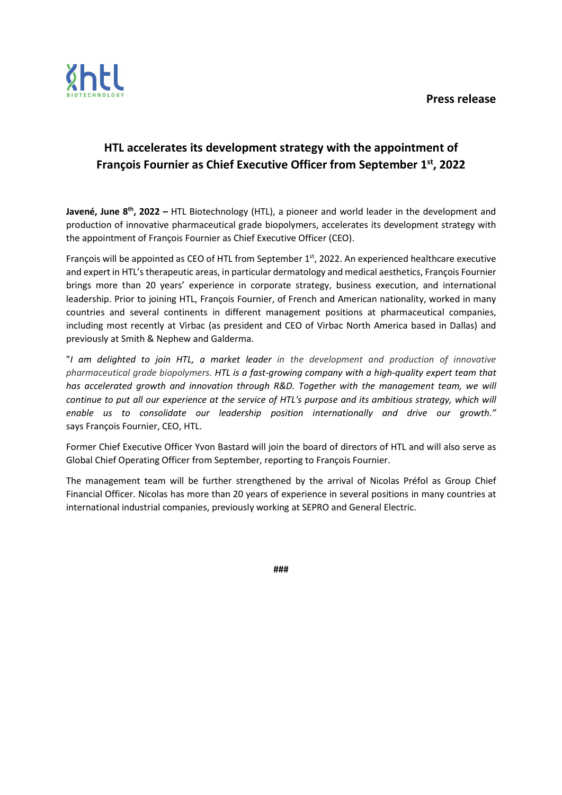

## HTL accelerates its development strategy with the appointment of François Fournier as Chief Executive Officer from September 1st, 2022

Javené, June 8<sup>th</sup>, 2022 – HTL Biotechnology (HTL), a pioneer and world leader in the development and production of innovative pharmaceutical grade biopolymers, accelerates its development strategy with the appointment of François Fournier as Chief Executive Officer (CEO).

François will be appointed as CEO of HTL from September 1st, 2022. An experienced healthcare executive and expert in HTL's therapeutic areas, in particular dermatology and medical aesthetics, François Fournier brings more than 20 years' experience in corporate strategy, business execution, and international leadership. Prior to joining HTL, François Fournier, of French and American nationality, worked in many countries and several continents in different management positions at pharmaceutical companies, including most recently at Virbac (as president and CEO of Virbac North America based in Dallas) and previously at Smith & Nephew and Galderma.

"I am delighted to join HTL, a market leader in the development and production of innovative pharmaceutical grade biopolymers. HTL is a fast-growing company with a high-quality expert team that has accelerated growth and innovation through R&D. Together with the management team, we will continue to put all our experience at the service of HTL's purpose and its ambitious strategy, which will enable us to consolidate our leadership position internationally and drive our growth." says François Fournier, CEO, HTL.

Former Chief Executive Officer Yvon Bastard will join the board of directors of HTL and will also serve as Global Chief Operating Officer from September, reporting to François Fournier.

The management team will be further strengthened by the arrival of Nicolas Préfol as Group Chief Financial Officer. Nicolas has more than 20 years of experience in several positions in many countries at international industrial companies, previously working at SEPRO and General Electric.

###